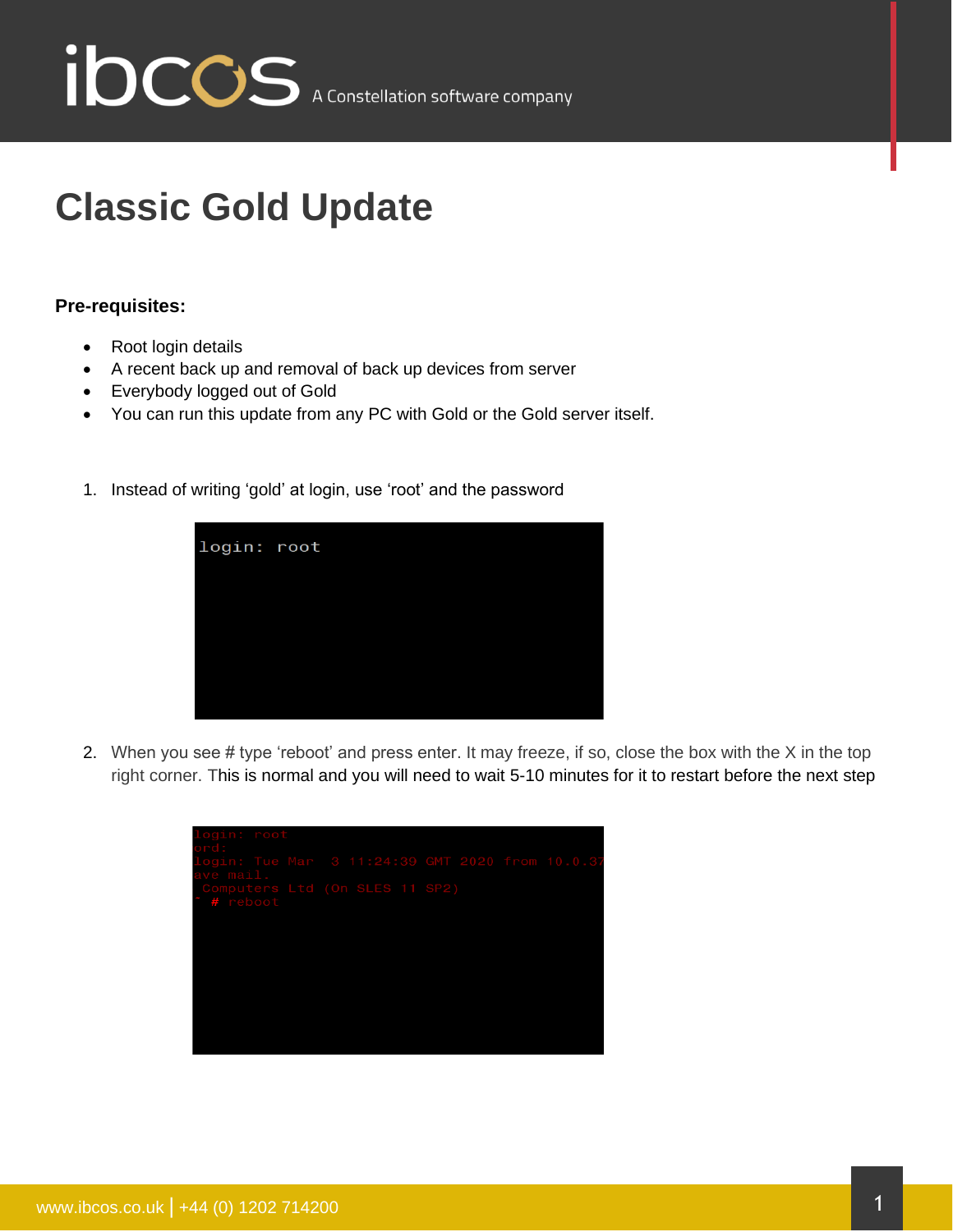

## **Classic Gold Update**

## **Pre-requisites:**

- Root login details
- A recent back up and removal of back up devices from server
- Everybody logged out of Gold
- You can run this update from any PC with Gold or the Gold server itself.
- 1. Instead of writing 'gold' at login, use 'root' and the password



2. When you see # type 'reboot' and press enter. It may freeze, if so, close the box with the X in the top right corner. This is normal and you will need to wait 5-10 minutes for it to restart before the next step

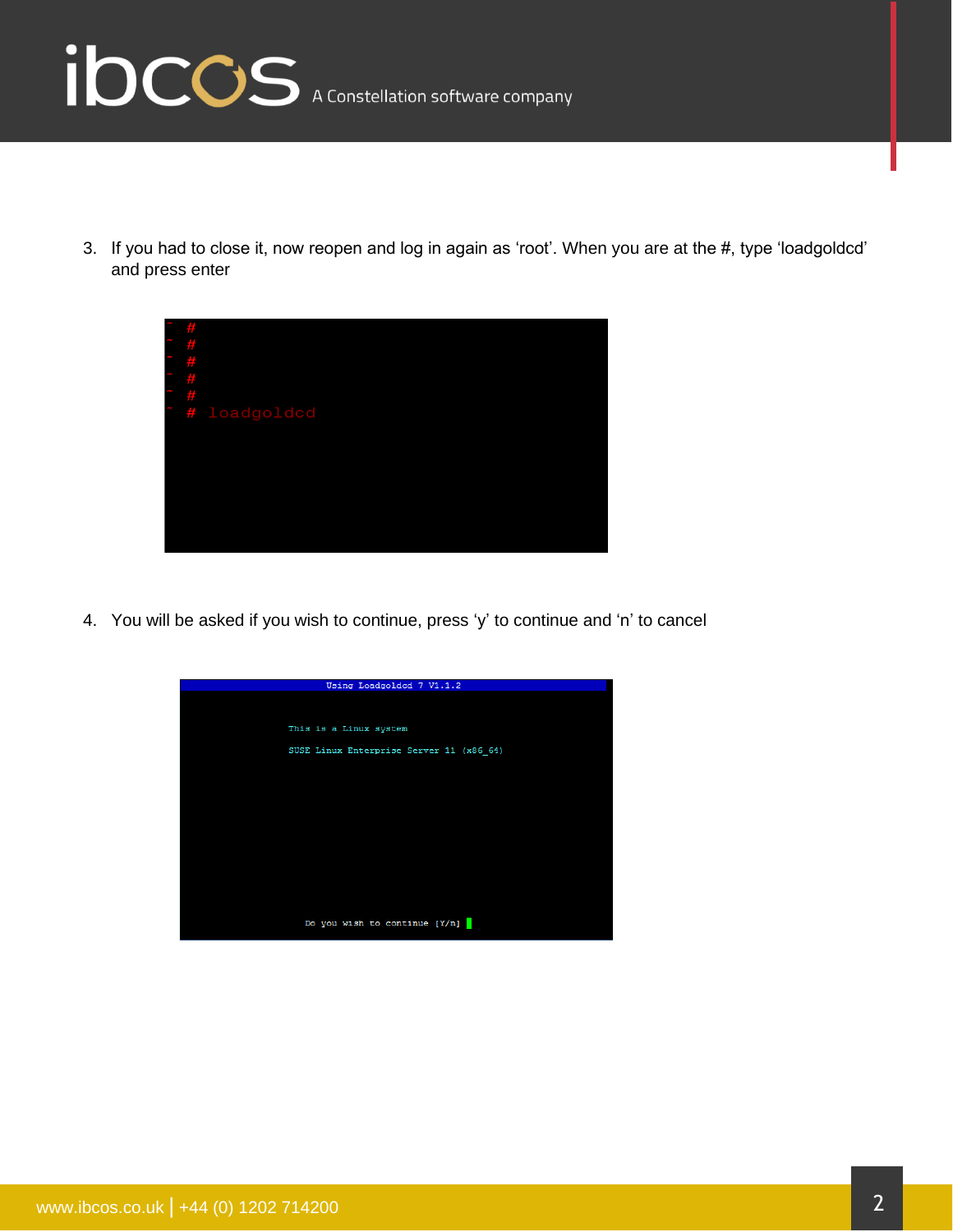

3. If you had to close it, now reopen and log in again as 'root'. When you are at the #, type 'loadgoldcd' and press enter



4. You will be asked if you wish to continue, press 'y' to continue and 'n' to cancel

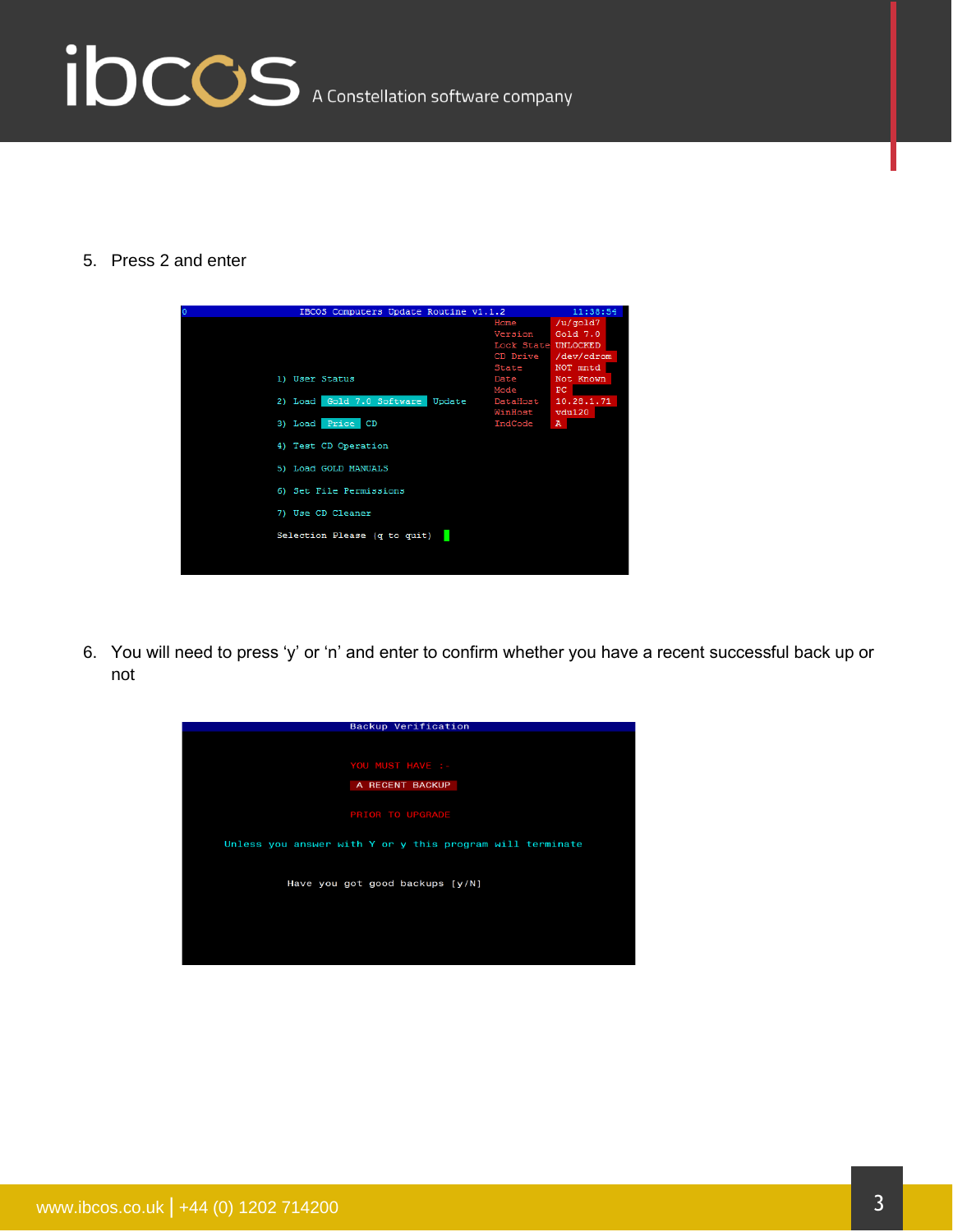## ibccos A Constellation software company

5. Press 2 and enter



6. You will need to press 'y' or 'n' and enter to confirm whether you have a recent successful back up or not

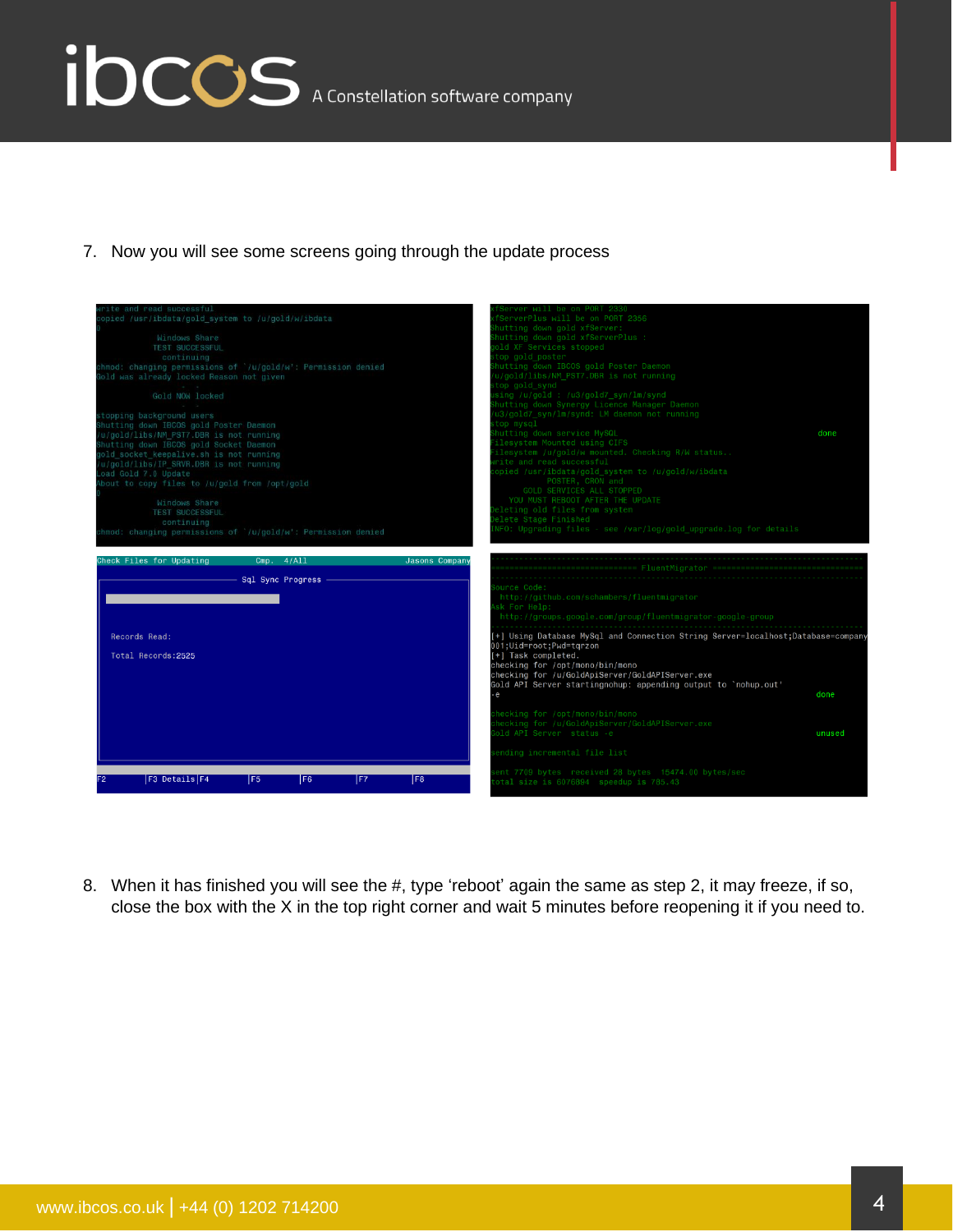## ibccos A Constellation software company

7. Now you will see some screens going through the update process



8. When it has finished you will see the #, type 'reboot' again the same as step 2, it may freeze, if so, close the box with the X in the top right corner and wait 5 minutes before reopening it if you need to.